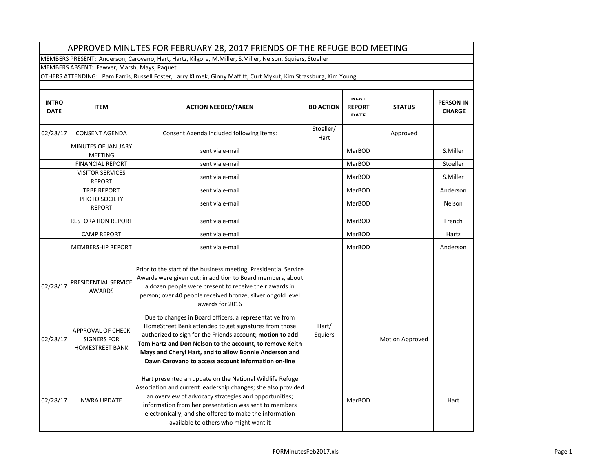| APPROVED MINUTES FOR FEBRUARY 28, 2017 FRIENDS OF THE REFUGE BOD MEETING                                         |                                                                   |                                                                                                                                                                                                                                                                                                                                                            |                   |                                              |                        |                                   |  |
|------------------------------------------------------------------------------------------------------------------|-------------------------------------------------------------------|------------------------------------------------------------------------------------------------------------------------------------------------------------------------------------------------------------------------------------------------------------------------------------------------------------------------------------------------------------|-------------------|----------------------------------------------|------------------------|-----------------------------------|--|
| MEMBERS PRESENT: Anderson, Carovano, Hart, Hartz, Kilgore, M.Miller, S.Miller, Nelson, Squiers, Stoeller         |                                                                   |                                                                                                                                                                                                                                                                                                                                                            |                   |                                              |                        |                                   |  |
| MEMBERS ABSENT: Fawver, Marsh, Mays, Paquet                                                                      |                                                                   |                                                                                                                                                                                                                                                                                                                                                            |                   |                                              |                        |                                   |  |
| OTHERS ATTENDING: Pam Farris, Russell Foster, Larry Klimek, Ginny Maffitt, Curt Mykut, Kim Strassburg, Kim Young |                                                                   |                                                                                                                                                                                                                                                                                                                                                            |                   |                                              |                        |                                   |  |
|                                                                                                                  |                                                                   |                                                                                                                                                                                                                                                                                                                                                            |                   |                                              |                        |                                   |  |
| <b>INTRO</b><br><b>DATE</b>                                                                                      | <b>ITEM</b>                                                       | <b>ACTION NEEDED/TAKEN</b>                                                                                                                                                                                                                                                                                                                                 | <b>BD ACTION</b>  | <b>TYEAT</b><br><b>REPORT</b><br><b>DATE</b> | <b>STATUS</b>          | <b>PERSON IN</b><br><b>CHARGE</b> |  |
|                                                                                                                  |                                                                   |                                                                                                                                                                                                                                                                                                                                                            |                   |                                              |                        |                                   |  |
| 02/28/17                                                                                                         | <b>CONSENT AGENDA</b>                                             | Consent Agenda included following items:                                                                                                                                                                                                                                                                                                                   | Stoeller/<br>Hart |                                              | Approved               |                                   |  |
|                                                                                                                  | <b>MINUTES OF JANUARY</b><br><b>MEETING</b>                       | sent via e-mail                                                                                                                                                                                                                                                                                                                                            |                   | MarBOD                                       |                        | S.Miller                          |  |
|                                                                                                                  | <b>FINANCIAL REPORT</b>                                           | sent via e-mail                                                                                                                                                                                                                                                                                                                                            |                   | MarBOD                                       |                        | Stoeller                          |  |
|                                                                                                                  | <b>VISITOR SERVICES</b><br><b>REPORT</b>                          | sent via e-mail                                                                                                                                                                                                                                                                                                                                            |                   | MarBOD                                       |                        | S.Miller                          |  |
|                                                                                                                  | <b>TRBF REPORT</b>                                                | sent via e-mail                                                                                                                                                                                                                                                                                                                                            |                   | MarBOD                                       |                        | Anderson                          |  |
|                                                                                                                  | PHOTO SOCIETY<br><b>REPORT</b>                                    | sent via e-mail                                                                                                                                                                                                                                                                                                                                            |                   | MarBOD                                       |                        | Nelson                            |  |
|                                                                                                                  | <b>RESTORATION REPORT</b>                                         | sent via e-mail                                                                                                                                                                                                                                                                                                                                            |                   | MarBOD                                       |                        | French                            |  |
|                                                                                                                  | <b>CAMP REPORT</b>                                                | sent via e-mail                                                                                                                                                                                                                                                                                                                                            |                   | MarBOD                                       |                        | Hartz                             |  |
|                                                                                                                  | <b>MEMBERSHIP REPORT</b>                                          | sent via e-mail                                                                                                                                                                                                                                                                                                                                            |                   | <b>MarBOD</b>                                |                        | Anderson                          |  |
|                                                                                                                  |                                                                   | Prior to the start of the business meeting, Presidential Service                                                                                                                                                                                                                                                                                           |                   |                                              |                        |                                   |  |
| 02/28/17                                                                                                         | PRESIDENTIAL SERVICE<br><b>AWARDS</b>                             | Awards were given out; in addition to Board members, about<br>a dozen people were present to receive their awards in<br>person; over 40 people received bronze, silver or gold level<br>awards for 2016                                                                                                                                                    |                   |                                              |                        |                                   |  |
| 02/28/17                                                                                                         | APPROVAL OF CHECK<br><b>SIGNERS FOR</b><br><b>HOMESTREET BANK</b> | Due to changes in Board officers, a representative from<br>HomeStreet Bank attended to get signatures from those<br>authorized to sign for the Friends account; motion to add<br>Tom Hartz and Don Nelson to the account, to remove Keith<br>Mays and Cheryl Hart, and to allow Bonnie Anderson and<br>Dawn Carovano to access account information on-line | Hart/<br>Squiers  |                                              | <b>Motion Approved</b> |                                   |  |
| 02/28/17                                                                                                         | <b>NWRA UPDATE</b>                                                | Hart presented an update on the National Wildlife Refuge<br>Association and current leadership changes; she also provided<br>an overview of advocacy strategies and opportunities;<br>information from her presentation was sent to members<br>electronically, and she offered to make the information<br>available to others who might want it            |                   | <b>MarBOD</b>                                |                        | Hart                              |  |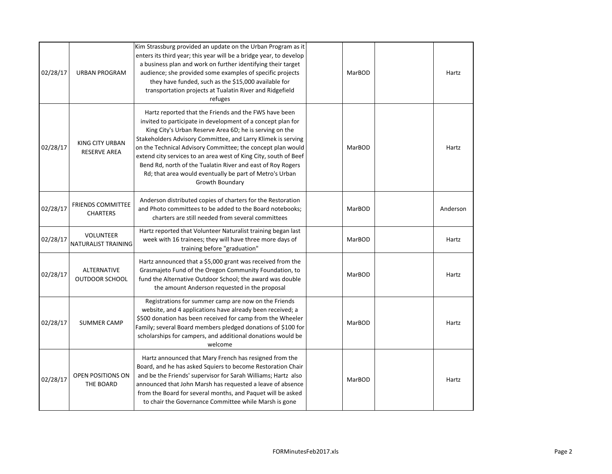| 02/28/17 | <b>URBAN PROGRAM</b>                          | Kim Strassburg provided an update on the Urban Program as it<br>enters its third year; this year will be a bridge year, to develop<br>a business plan and work on further identifying their target<br>audience; she provided some examples of specific projects<br>they have funded, such as the \$15,000 available for<br>transportation projects at Tualatin River and Ridgefield<br>refuges                                                                                                                                  | MarBOD | Hartz    |
|----------|-----------------------------------------------|---------------------------------------------------------------------------------------------------------------------------------------------------------------------------------------------------------------------------------------------------------------------------------------------------------------------------------------------------------------------------------------------------------------------------------------------------------------------------------------------------------------------------------|--------|----------|
| 02/28/17 | <b>KING CITY URBAN</b><br><b>RESERVE AREA</b> | Hartz reported that the Friends and the FWS have been<br>invited to participate in development of a concept plan for<br>King City's Urban Reserve Area 6D; he is serving on the<br>Stakeholders Advisory Committee, and Larry Klimek is serving<br>on the Technical Advisory Committee; the concept plan would<br>extend city services to an area west of King City, south of Beef<br>Bend Rd, north of the Tualatin River and east of Roy Rogers<br>Rd; that area would eventually be part of Metro's Urban<br>Growth Boundary | MarBOD | Hartz    |
| 02/28/17 | <b>FRIENDS COMMITTEE</b><br><b>CHARTERS</b>   | Anderson distributed copies of charters for the Restoration<br>and Photo committees to be added to the Board notebooks;<br>charters are still needed from several committees                                                                                                                                                                                                                                                                                                                                                    | MarBOD | Anderson |
| 02/28/17 | <b>VOLUNTEER</b><br>NATURALIST TRAINING       | Hartz reported that Volunteer Naturalist training began last<br>week with 16 trainees; they will have three more days of<br>training before "graduation"                                                                                                                                                                                                                                                                                                                                                                        | MarBOD | Hartz    |
| 02/28/17 | ALTERNATIVE<br>OUTDOOR SCHOOL                 | Hartz announced that a \$5,000 grant was received from the<br>Grasmajeto Fund of the Oregon Community Foundation, to<br>fund the Alternative Outdoor School; the award was double<br>the amount Anderson requested in the proposal                                                                                                                                                                                                                                                                                              | MarBOD | Hartz    |
| 02/28/17 | <b>SUMMER CAMP</b>                            | Registrations for summer camp are now on the Friends<br>website, and 4 applications have already been received; a<br>\$500 donation has been received for camp from the Wheeler<br>Family; several Board members pledged donations of \$100 for<br>scholarships for campers, and additional donations would be<br>welcome                                                                                                                                                                                                       | MarBOD | Hartz    |
| 02/28/17 | OPEN POSITIONS ON<br>THE BOARD                | Hartz announced that Mary French has resigned from the<br>Board, and he has asked Squiers to become Restoration Chair<br>and be the Friends' supervisor for Sarah Williams; Hartz also<br>announced that John Marsh has requested a leave of absence<br>from the Board for several months, and Paquet will be asked<br>to chair the Governance Committee while Marsh is gone                                                                                                                                                    | MarBOD | Hartz    |